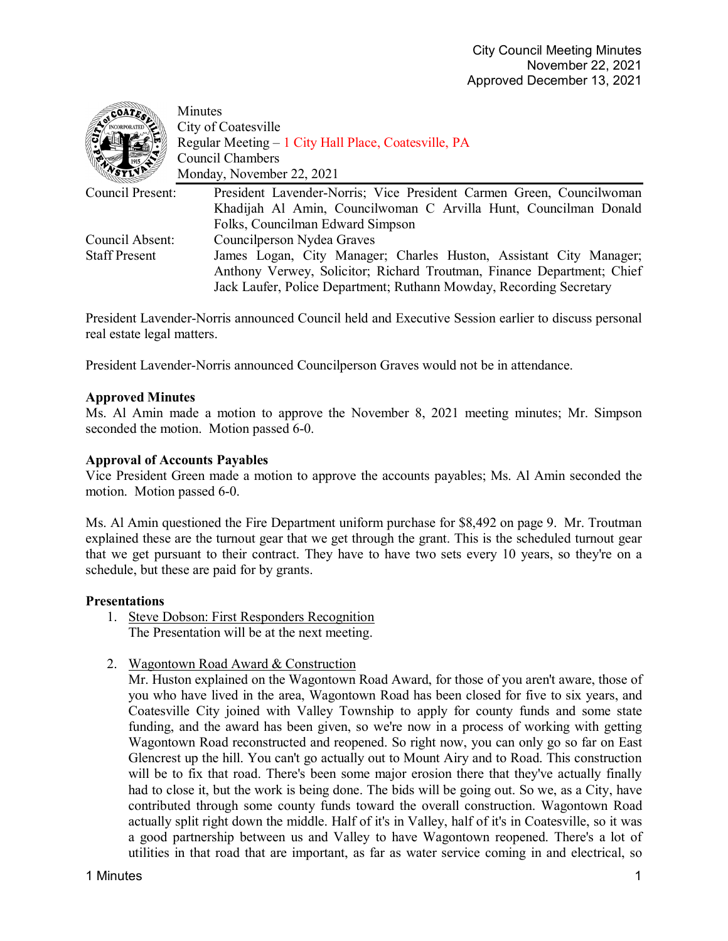| Minutes                                                                                  |
|------------------------------------------------------------------------------------------|
| City of Coatesville                                                                      |
| Regular Meeting - 1 City Hall Place, Coatesville, PA                                     |
| Council Chambers                                                                         |
| Monday, November 22, 2021                                                                |
| Council Present:<br>President Lavender-Norris; Vice President Carmen Green, Councilwoman |
| Khadijah Al Amin, Councilwoman C Arvilla Hunt, Councilman Donald                         |
| Folks, Councilman Edward Simpson                                                         |
| Council Absent:<br>Councilperson Nydea Graves                                            |
| James Logan, City Manager; Charles Huston, Assistant City Manager;                       |
| Anthony Verwey, Solicitor; Richard Troutman, Finance Department; Chief                   |
| Jack Laufer, Police Department; Ruthann Mowday, Recording Secretary                      |
|                                                                                          |

President Lavender-Norris announced Council held and Executive Session earlier to discuss personal real estate legal matters.

President Lavender-Norris announced Councilperson Graves would not be in attendance.

## **Approved Minutes**

Ms. Al Amin made a motion to approve the November 8, 2021 meeting minutes; Mr. Simpson seconded the motion. Motion passed 6-0.

### **Approval of Accounts Payables**

Vice President Green made a motion to approve the accounts payables; Ms. Al Amin seconded the motion. Motion passed 6-0.

Ms. Al Amin questioned the Fire Department uniform purchase for \$8,492 on page 9. Mr. Troutman explained these are the turnout gear that we get through the grant. This is the scheduled turnout gear that we get pursuant to their contract. They have to have two sets every 10 years, so they're on a schedule, but these are paid for by grants.

#### **Presentations**

- 1. Steve Dobson: First Responders Recognition The Presentation will be at the next meeting.
- 2. Wagontown Road Award & Construction

Mr. Huston explained on the Wagontown Road Award, for those of you aren't aware, those of you who have lived in the area, Wagontown Road has been closed for five to six years, and Coatesville City joined with Valley Township to apply for county funds and some state funding, and the award has been given, so we're now in a process of working with getting Wagontown Road reconstructed and reopened. So right now, you can only go so far on East Glencrest up the hill. You can't go actually out to Mount Airy and to Road. This construction will be to fix that road. There's been some major erosion there that they've actually finally had to close it, but the work is being done. The bids will be going out. So we, as a City, have contributed through some county funds toward the overall construction. Wagontown Road actually split right down the middle. Half of it's in Valley, half of it's in Coatesville, so it was a good partnership between us and Valley to have Wagontown reopened. There's a lot of utilities in that road that are important, as far as water service coming in and electrical, so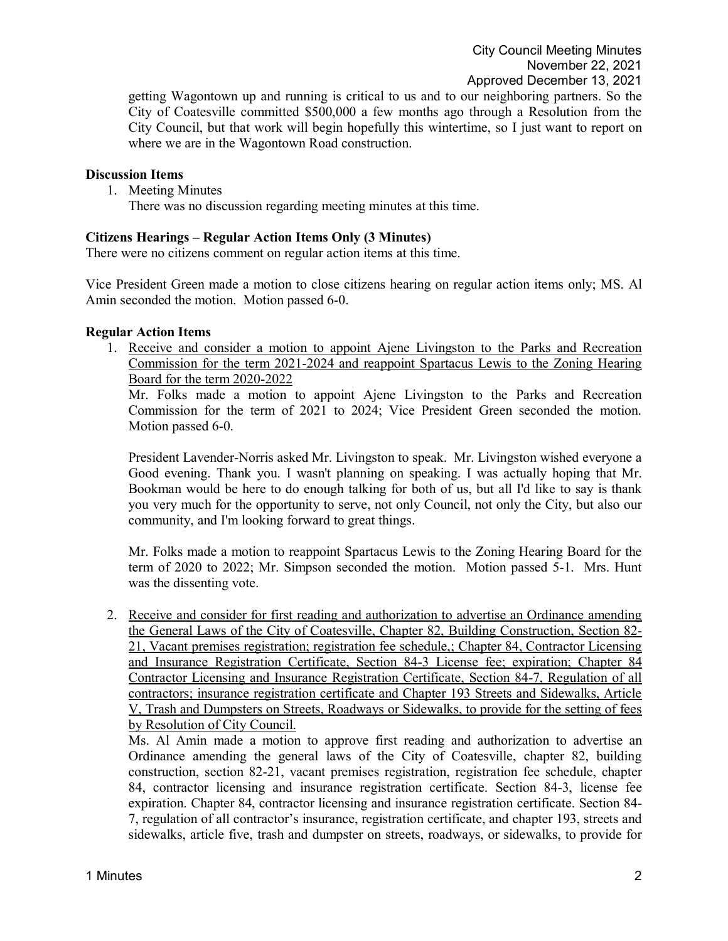getting Wagontown up and running is critical to us and to our neighboring partners. So the City of Coatesville committed \$500,000 a few months ago through a Resolution from the City Council, but that work will begin hopefully this wintertime, so I just want to report on where we are in the Wagontown Road construction.

### **Discussion Items**

1. Meeting Minutes

There was no discussion regarding meeting minutes at this time.

### **Citizens Hearings – Regular Action Items Only (3 Minutes)**

There were no citizens comment on regular action items at this time.

Vice President Green made a motion to close citizens hearing on regular action items only; MS. Al Amin seconded the motion. Motion passed 6-0.

### **Regular Action Items**

1. Receive and consider a motion to appoint Ajene Livingston to the Parks and Recreation Commission for the term 2021-2024 and reappoint Spartacus Lewis to the Zoning Hearing Board for the term 2020-2022

Mr. Folks made a motion to appoint Ajene Livingston to the Parks and Recreation Commission for the term of 2021 to 2024; Vice President Green seconded the motion. Motion passed 6-0.

President Lavender-Norris asked Mr. Livingston to speak. Mr. Livingston wished everyone a Good evening. Thank you. I wasn't planning on speaking. I was actually hoping that Mr. Bookman would be here to do enough talking for both of us, but all I'd like to say is thank you very much for the opportunity to serve, not only Council, not only the City, but also our community, and I'm looking forward to great things.

Mr. Folks made a motion to reappoint Spartacus Lewis to the Zoning Hearing Board for the term of 2020 to 2022; Mr. Simpson seconded the motion. Motion passed 5-1. Mrs. Hunt was the dissenting vote.

2. Receive and consider for first reading and authorization to advertise an Ordinance amending the General Laws of the City of Coatesville, Chapter 82, Building Construction, Section 82- 21, Vacant premises registration; registration fee schedule,; Chapter 84, Contractor Licensing and Insurance Registration Certificate, Section 84-3 License fee; expiration; Chapter 84 Contractor Licensing and Insurance Registration Certificate, Section 84-7, Regulation of all contractors; insurance registration certificate and Chapter 193 Streets and Sidewalks, Article V, Trash and Dumpsters on Streets, Roadways or Sidewalks, to provide for the setting of fees by Resolution of City Council.

Ms. Al Amin made a motion to approve first reading and authorization to advertise an Ordinance amending the general laws of the City of Coatesville, chapter 82, building construction, section 82-21, vacant premises registration, registration fee schedule, chapter 84, contractor licensing and insurance registration certificate. Section 84-3, license fee expiration. Chapter 84, contractor licensing and insurance registration certificate. Section 84- 7, regulation of all contractor's insurance, registration certificate, and chapter 193, streets and sidewalks, article five, trash and dumpster on streets, roadways, or sidewalks, to provide for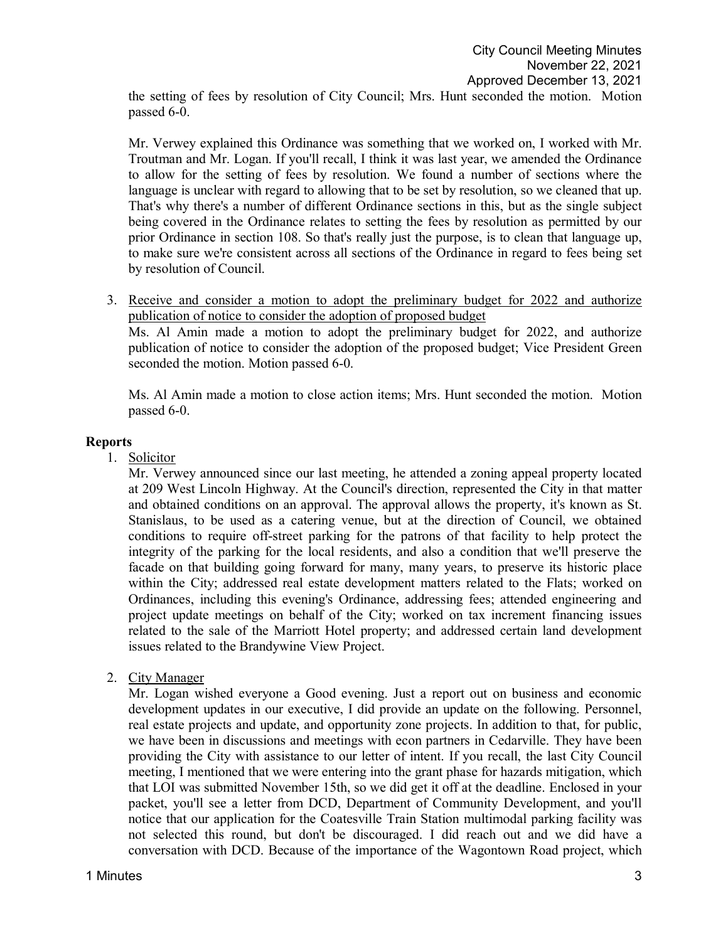the setting of fees by resolution of City Council; Mrs. Hunt seconded the motion. Motion passed 6-0.

Mr. Verwey explained this Ordinance was something that we worked on, I worked with Mr. Troutman and Mr. Logan. If you'll recall, I think it was last year, we amended the Ordinance to allow for the setting of fees by resolution. We found a number of sections where the language is unclear with regard to allowing that to be set by resolution, so we cleaned that up. That's why there's a number of different Ordinance sections in this, but as the single subject being covered in the Ordinance relates to setting the fees by resolution as permitted by our prior Ordinance in section 108. So that's really just the purpose, is to clean that language up, to make sure we're consistent across all sections of the Ordinance in regard to fees being set by resolution of Council.

3. Receive and consider a motion to adopt the preliminary budget for 2022 and authorize publication of notice to consider the adoption of proposed budget

Ms. Al Amin made a motion to adopt the preliminary budget for 2022, and authorize publication of notice to consider the adoption of the proposed budget; Vice President Green seconded the motion. Motion passed 6-0.

Ms. Al Amin made a motion to close action items; Mrs. Hunt seconded the motion. Motion passed 6-0.

# **Reports**

1. Solicitor

Mr. Verwey announced since our last meeting, he attended a zoning appeal property located at 209 West Lincoln Highway. At the Council's direction, represented the City in that matter and obtained conditions on an approval. The approval allows the property, it's known as St. Stanislaus, to be used as a catering venue, but at the direction of Council, we obtained conditions to require off-street parking for the patrons of that facility to help protect the integrity of the parking for the local residents, and also a condition that we'll preserve the facade on that building going forward for many, many years, to preserve its historic place within the City; addressed real estate development matters related to the Flats; worked on Ordinances, including this evening's Ordinance, addressing fees; attended engineering and project update meetings on behalf of the City; worked on tax increment financing issues related to the sale of the Marriott Hotel property; and addressed certain land development issues related to the Brandywine View Project.

2. City Manager

Mr. Logan wished everyone a Good evening. Just a report out on business and economic development updates in our executive, I did provide an update on the following. Personnel, real estate projects and update, and opportunity zone projects. In addition to that, for public, we have been in discussions and meetings with econ partners in Cedarville. They have been providing the City with assistance to our letter of intent. If you recall, the last City Council meeting, I mentioned that we were entering into the grant phase for hazards mitigation, which that LOI was submitted November 15th, so we did get it off at the deadline. Enclosed in your packet, you'll see a letter from DCD, Department of Community Development, and you'll notice that our application for the Coatesville Train Station multimodal parking facility was not selected this round, but don't be discouraged. I did reach out and we did have a conversation with DCD. Because of the importance of the Wagontown Road project, which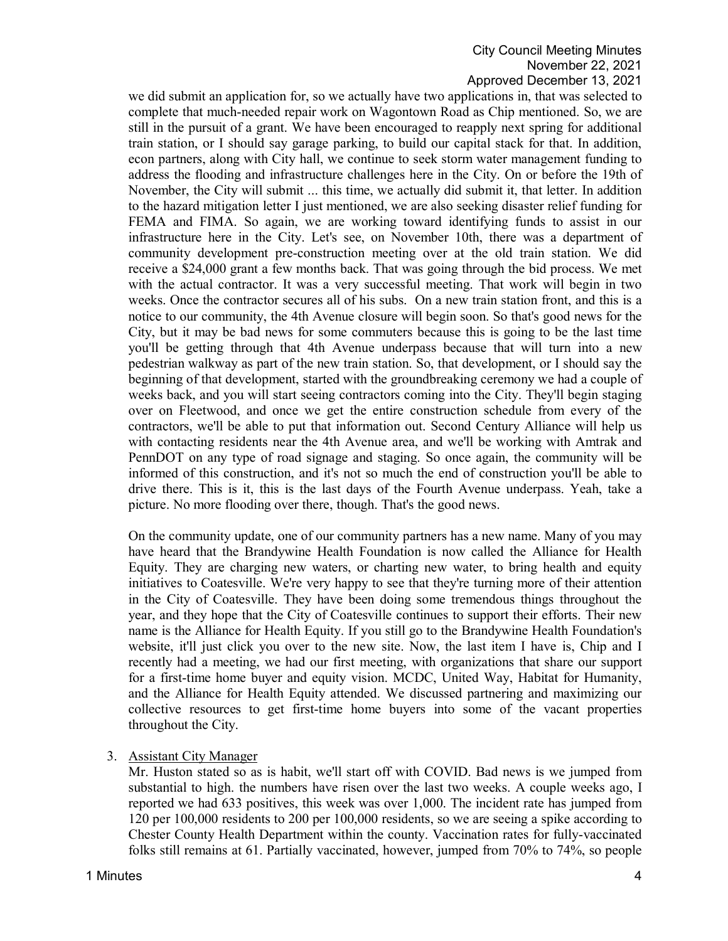## City Council Meeting Minutes November 22, 2021 Approved December 13, 2021

we did submit an application for, so we actually have two applications in, that was selected to complete that much-needed repair work on Wagontown Road as Chip mentioned. So, we are still in the pursuit of a grant. We have been encouraged to reapply next spring for additional train station, or I should say garage parking, to build our capital stack for that. In addition, econ partners, along with City hall, we continue to seek storm water management funding to address the flooding and infrastructure challenges here in the City. On or before the 19th of November, the City will submit ... this time, we actually did submit it, that letter. In addition to the hazard mitigation letter I just mentioned, we are also seeking disaster relief funding for FEMA and FIMA. So again, we are working toward identifying funds to assist in our infrastructure here in the City. Let's see, on November 10th, there was a department of community development pre-construction meeting over at the old train station. We did receive a \$24,000 grant a few months back. That was going through the bid process. We met with the actual contractor. It was a very successful meeting. That work will begin in two weeks. Once the contractor secures all of his subs. On a new train station front, and this is a notice to our community, the 4th Avenue closure will begin soon. So that's good news for the City, but it may be bad news for some commuters because this is going to be the last time you'll be getting through that 4th Avenue underpass because that will turn into a new pedestrian walkway as part of the new train station. So, that development, or I should say the beginning of that development, started with the groundbreaking ceremony we had a couple of weeks back, and you will start seeing contractors coming into the City. They'll begin staging over on Fleetwood, and once we get the entire construction schedule from every of the contractors, we'll be able to put that information out. Second Century Alliance will help us with contacting residents near the 4th Avenue area, and we'll be working with Amtrak and PennDOT on any type of road signage and staging. So once again, the community will be informed of this construction, and it's not so much the end of construction you'll be able to drive there. This is it, this is the last days of the Fourth Avenue underpass. Yeah, take a picture. No more flooding over there, though. That's the good news.

On the community update, one of our community partners has a new name. Many of you may have heard that the Brandywine Health Foundation is now called the Alliance for Health Equity. They are charging new waters, or charting new water, to bring health and equity initiatives to Coatesville. We're very happy to see that they're turning more of their attention in the City of Coatesville. They have been doing some tremendous things throughout the year, and they hope that the City of Coatesville continues to support their efforts. Their new name is the Alliance for Health Equity. If you still go to the Brandywine Health Foundation's website, it'll just click you over to the new site. Now, the last item I have is, Chip and I recently had a meeting, we had our first meeting, with organizations that share our support for a first-time home buyer and equity vision. MCDC, United Way, Habitat for Humanity, and the Alliance for Health Equity attended. We discussed partnering and maximizing our collective resources to get first-time home buyers into some of the vacant properties throughout the City.

## 3. Assistant City Manager

Mr. Huston stated so as is habit, we'll start off with COVID. Bad news is we jumped from substantial to high. the numbers have risen over the last two weeks. A couple weeks ago, I reported we had 633 positives, this week was over 1,000. The incident rate has jumped from 120 per 100,000 residents to 200 per 100,000 residents, so we are seeing a spike according to Chester County Health Department within the county. Vaccination rates for fully-vaccinated folks still remains at 61. Partially vaccinated, however, jumped from 70% to 74%, so people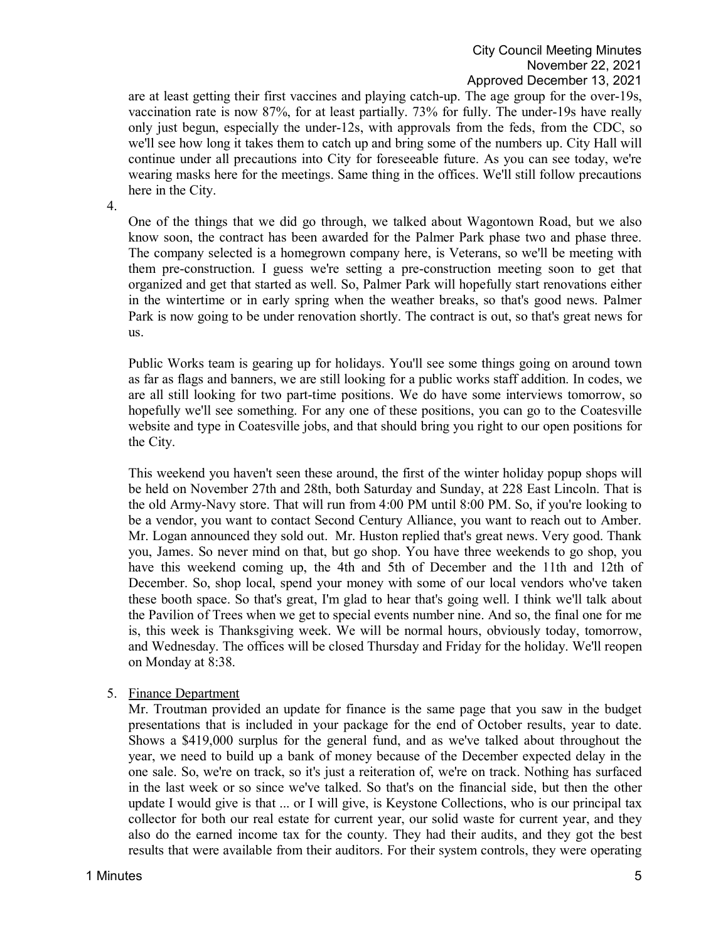are at least getting their first vaccines and playing catch-up. The age group for the over-19s, vaccination rate is now 87%, for at least partially. 73% for fully. The under-19s have really only just begun, especially the under-12s, with approvals from the feds, from the CDC, so we'll see how long it takes them to catch up and bring some of the numbers up. City Hall will continue under all precautions into City for foreseeable future. As you can see today, we're wearing masks here for the meetings. Same thing in the offices. We'll still follow precautions here in the City.

4.

One of the things that we did go through, we talked about Wagontown Road, but we also know soon, the contract has been awarded for the Palmer Park phase two and phase three. The company selected is a homegrown company here, is Veterans, so we'll be meeting with them pre-construction. I guess we're setting a pre-construction meeting soon to get that organized and get that started as well. So, Palmer Park will hopefully start renovations either in the wintertime or in early spring when the weather breaks, so that's good news. Palmer Park is now going to be under renovation shortly. The contract is out, so that's great news for us.

Public Works team is gearing up for holidays. You'll see some things going on around town as far as flags and banners, we are still looking for a public works staff addition. In codes, we are all still looking for two part-time positions. We do have some interviews tomorrow, so hopefully we'll see something. For any one of these positions, you can go to the Coatesville website and type in Coatesville jobs, and that should bring you right to our open positions for the City.

This weekend you haven't seen these around, the first of the winter holiday popup shops will be held on November 27th and 28th, both Saturday and Sunday, at 228 East Lincoln. That is the old Army-Navy store. That will run from 4:00 PM until 8:00 PM. So, if you're looking to be a vendor, you want to contact Second Century Alliance, you want to reach out to Amber. Mr. Logan announced they sold out. Mr. Huston replied that's great news. Very good. Thank you, James. So never mind on that, but go shop. You have three weekends to go shop, you have this weekend coming up, the 4th and 5th of December and the 11th and 12th of December. So, shop local, spend your money with some of our local vendors who've taken these booth space. So that's great, I'm glad to hear that's going well. I think we'll talk about the Pavilion of Trees when we get to special events number nine. And so, the final one for me is, this week is Thanksgiving week. We will be normal hours, obviously today, tomorrow, and Wednesday. The offices will be closed Thursday and Friday for the holiday. We'll reopen on Monday at 8:38.

## 5. Finance Department

Mr. Troutman provided an update for finance is the same page that you saw in the budget presentations that is included in your package for the end of October results, year to date. Shows a \$419,000 surplus for the general fund, and as we've talked about throughout the year, we need to build up a bank of money because of the December expected delay in the one sale. So, we're on track, so it's just a reiteration of, we're on track. Nothing has surfaced in the last week or so since we've talked. So that's on the financial side, but then the other update I would give is that ... or I will give, is Keystone Collections, who is our principal tax collector for both our real estate for current year, our solid waste for current year, and they also do the earned income tax for the county. They had their audits, and they got the best results that were available from their auditors. For their system controls, they were operating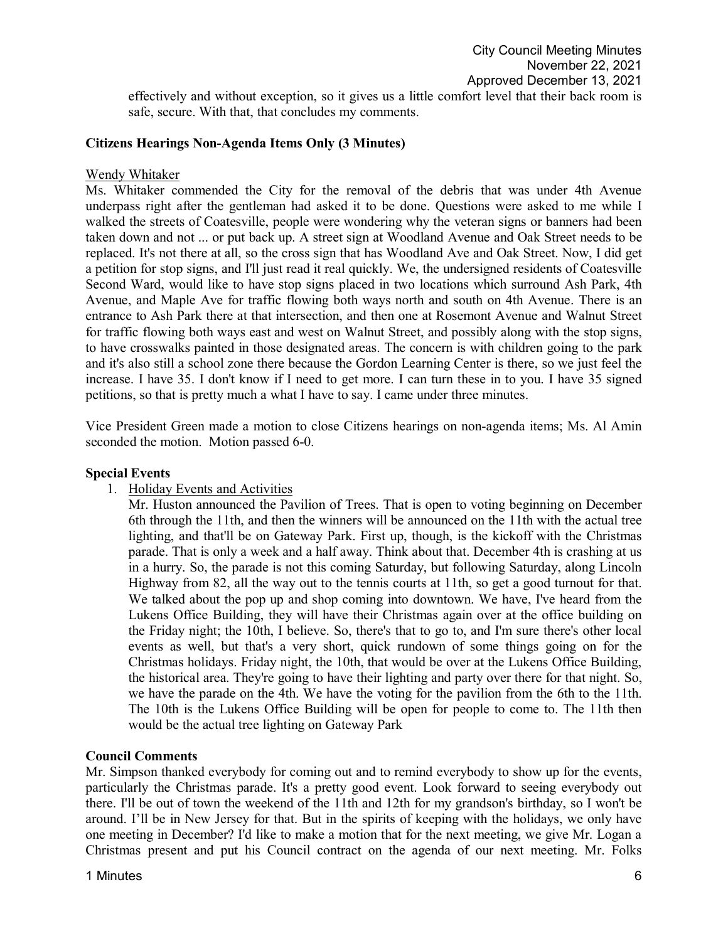effectively and without exception, so it gives us a little comfort level that their back room is safe, secure. With that, that concludes my comments.

#### **Citizens Hearings Non-Agenda Items Only (3 Minutes)**

#### Wendy Whitaker

Ms. Whitaker commended the City for the removal of the debris that was under 4th Avenue underpass right after the gentleman had asked it to be done. Questions were asked to me while I walked the streets of Coatesville, people were wondering why the veteran signs or banners had been taken down and not ... or put back up. A street sign at Woodland Avenue and Oak Street needs to be replaced. It's not there at all, so the cross sign that has Woodland Ave and Oak Street. Now, I did get a petition for stop signs, and I'll just read it real quickly. We, the undersigned residents of Coatesville Second Ward, would like to have stop signs placed in two locations which surround Ash Park, 4th Avenue, and Maple Ave for traffic flowing both ways north and south on 4th Avenue. There is an entrance to Ash Park there at that intersection, and then one at Rosemont Avenue and Walnut Street for traffic flowing both ways east and west on Walnut Street, and possibly along with the stop signs, to have crosswalks painted in those designated areas. The concern is with children going to the park and it's also still a school zone there because the Gordon Learning Center is there, so we just feel the increase. I have 35. I don't know if I need to get more. I can turn these in to you. I have 35 signed petitions, so that is pretty much a what I have to say. I came under three minutes.

Vice President Green made a motion to close Citizens hearings on non-agenda items; Ms. Al Amin seconded the motion. Motion passed 6-0.

#### **Special Events**

1. Holiday Events and Activities

Mr. Huston announced the Pavilion of Trees. That is open to voting beginning on December 6th through the 11th, and then the winners will be announced on the 11th with the actual tree lighting, and that'll be on Gateway Park. First up, though, is the kickoff with the Christmas parade. That is only a week and a half away. Think about that. December 4th is crashing at us in a hurry. So, the parade is not this coming Saturday, but following Saturday, along Lincoln Highway from 82, all the way out to the tennis courts at 11th, so get a good turnout for that. We talked about the pop up and shop coming into downtown. We have, I've heard from the Lukens Office Building, they will have their Christmas again over at the office building on the Friday night; the 10th, I believe. So, there's that to go to, and I'm sure there's other local events as well, but that's a very short, quick rundown of some things going on for the Christmas holidays. Friday night, the 10th, that would be over at the Lukens Office Building, the historical area. They're going to have their lighting and party over there for that night. So, we have the parade on the 4th. We have the voting for the pavilion from the 6th to the 11th. The 10th is the Lukens Office Building will be open for people to come to. The 11th then would be the actual tree lighting on Gateway Park

#### **Council Comments**

Mr. Simpson thanked everybody for coming out and to remind everybody to show up for the events, particularly the Christmas parade. It's a pretty good event. Look forward to seeing everybody out there. I'll be out of town the weekend of the 11th and 12th for my grandson's birthday, so I won't be around. I'll be in New Jersey for that. But in the spirits of keeping with the holidays, we only have one meeting in December? I'd like to make a motion that for the next meeting, we give Mr. Logan a Christmas present and put his Council contract on the agenda of our next meeting. Mr. Folks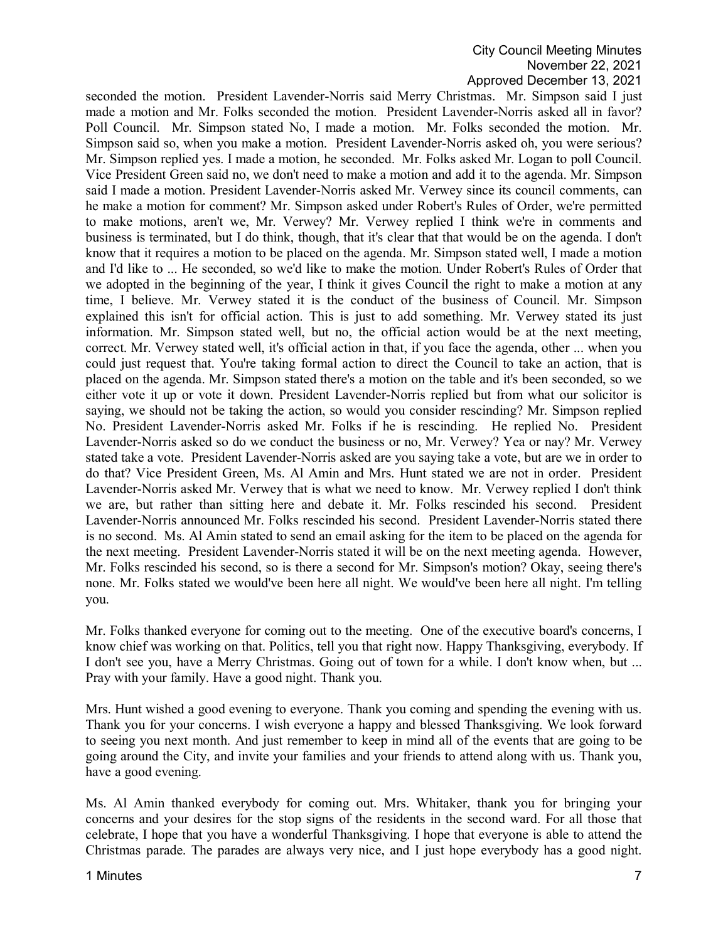# City Council Meeting Minutes November 22, 2021 Approved December 13, 2021

seconded the motion. President Lavender-Norris said Merry Christmas. Mr. Simpson said I just made a motion and Mr. Folks seconded the motion. President Lavender-Norris asked all in favor? Poll Council. Mr. Simpson stated No, I made a motion. Mr. Folks seconded the motion. Mr. Simpson said so, when you make a motion. President Lavender-Norris asked oh, you were serious? Mr. Simpson replied yes. I made a motion, he seconded. Mr. Folks asked Mr. Logan to poll Council. Vice President Green said no, we don't need to make a motion and add it to the agenda. Mr. Simpson said I made a motion. President Lavender-Norris asked Mr. Verwey since its council comments, can he make a motion for comment? Mr. Simpson asked under Robert's Rules of Order, we're permitted to make motions, aren't we, Mr. Verwey? Mr. Verwey replied I think we're in comments and business is terminated, but I do think, though, that it's clear that that would be on the agenda. I don't know that it requires a motion to be placed on the agenda. Mr. Simpson stated well, I made a motion and I'd like to ... He seconded, so we'd like to make the motion. Under Robert's Rules of Order that we adopted in the beginning of the year, I think it gives Council the right to make a motion at any time, I believe. Mr. Verwey stated it is the conduct of the business of Council. Mr. Simpson explained this isn't for official action. This is just to add something. Mr. Verwey stated its just information. Mr. Simpson stated well, but no, the official action would be at the next meeting, correct. Mr. Verwey stated well, it's official action in that, if you face the agenda, other ... when you could just request that. You're taking formal action to direct the Council to take an action, that is placed on the agenda. Mr. Simpson stated there's a motion on the table and it's been seconded, so we either vote it up or vote it down. President Lavender-Norris replied but from what our solicitor is saying, we should not be taking the action, so would you consider rescinding? Mr. Simpson replied No. President Lavender-Norris asked Mr. Folks if he is rescinding. He replied No. President Lavender-Norris asked so do we conduct the business or no, Mr. Verwey? Yea or nay? Mr. Verwey stated take a vote. President Lavender-Norris asked are you saying take a vote, but are we in order to do that? Vice President Green, Ms. Al Amin and Mrs. Hunt stated we are not in order. President Lavender-Norris asked Mr. Verwey that is what we need to know. Mr. Verwey replied I don't think we are, but rather than sitting here and debate it. Mr. Folks rescinded his second. President Lavender-Norris announced Mr. Folks rescinded his second. President Lavender-Norris stated there is no second. Ms. Al Amin stated to send an email asking for the item to be placed on the agenda for the next meeting. President Lavender-Norris stated it will be on the next meeting agenda. However, Mr. Folks rescinded his second, so is there a second for Mr. Simpson's motion? Okay, seeing there's none. Mr. Folks stated we would've been here all night. We would've been here all night. I'm telling you.

Mr. Folks thanked everyone for coming out to the meeting. One of the executive board's concerns, I know chief was working on that. Politics, tell you that right now. Happy Thanksgiving, everybody. If I don't see you, have a Merry Christmas. Going out of town for a while. I don't know when, but ... Pray with your family. Have a good night. Thank you.

Mrs. Hunt wished a good evening to everyone. Thank you coming and spending the evening with us. Thank you for your concerns. I wish everyone a happy and blessed Thanksgiving. We look forward to seeing you next month. And just remember to keep in mind all of the events that are going to be going around the City, and invite your families and your friends to attend along with us. Thank you, have a good evening.

Ms. Al Amin thanked everybody for coming out. Mrs. Whitaker, thank you for bringing your concerns and your desires for the stop signs of the residents in the second ward. For all those that celebrate, I hope that you have a wonderful Thanksgiving. I hope that everyone is able to attend the Christmas parade. The parades are always very nice, and I just hope everybody has a good night.